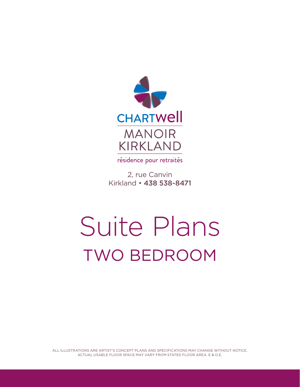

résidence pour retraités

2, rue Canvin Kirkland • 438 538-8471

## Suite Plans TWO BEDROOM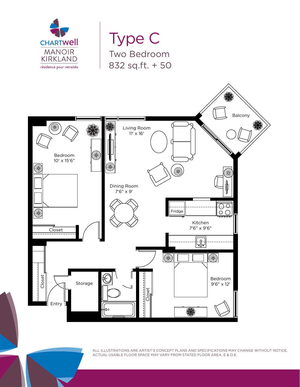

Type C Two Bedroom 832 sq.ft. + 50

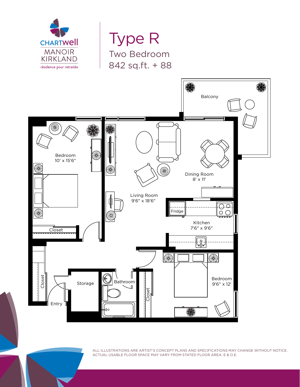

Type R Two Bedroom 842 sq.ft. + 88